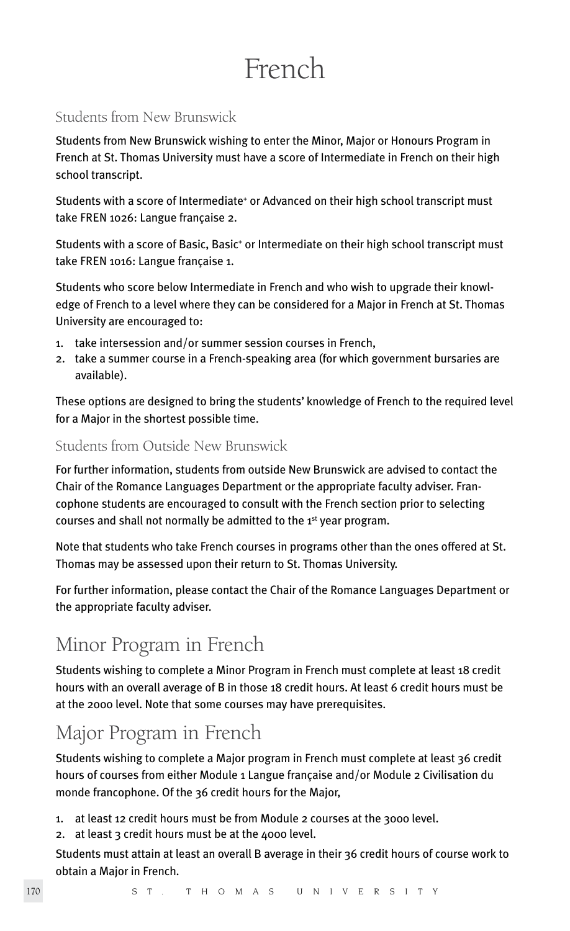# French

# Students from New Brunswick

Students from New Brunswick wishing to enter the Minor, Major or Honours Program in French at St. Thomas University must have a score of Intermediate in French on their high school transcript.

Students with a score of Intermediate<sup>+</sup> or Advanced on their high school transcript must take FREN 1026: Langue française 2.

Students with a score of Basic, Basic<sup>+</sup> or Intermediate on their high school transcript must take FREN 1016: Langue française 1.

Students who score below Intermediate in French and who wish to upgrade their knowledge of French to a level where they can be considered for a Major in French at St. Thomas University are encouraged to:

- 1. take intersession and/or summer session courses in French,
- 2. take a summer course in a French-speaking area (for which government bursaries are available).

These options are designed to bring the students' knowledge of French to the required level for a Major in the shortest possible time.

# Students from Outside New Brunswick

For further information, students from outside New Brunswick are advised to contact the Chair of the Romance Languages Department or the appropriate faculty adviser. Francophone students are encouraged to consult with the French section prior to selecting courses and shall not normally be admitted to the 1<sup>st</sup> year program.

Note that students who take French courses in programs other than the ones offered at St. Thomas may be assessed upon their return to St. Thomas University.

For further information, please contact the Chair of the Romance Languages Department or the appropriate faculty adviser.

# Minor Program in French

Students wishing to complete a Minor Program in French must complete at least 18 credit hours with an overall average of B in those 18 credit hours. At least 6 credit hours must be at the 2000 level. Note that some courses may have prerequisites.

# Major Program in French

Students wishing to complete a Major program in French must complete at least 36 credit hours of courses from either Module 1 Langue française and/or Module 2 Civilisation du monde francophone. Of the 36 credit hours for the Major,

- 1. at least 12 credit hours must be from Module 2 courses at the 3000 level.
- 2. at least 3 credit hours must be at the 4000 level.

Students must attain at least an overall B average in their 36 credit hours of course work to obtain a Major in French.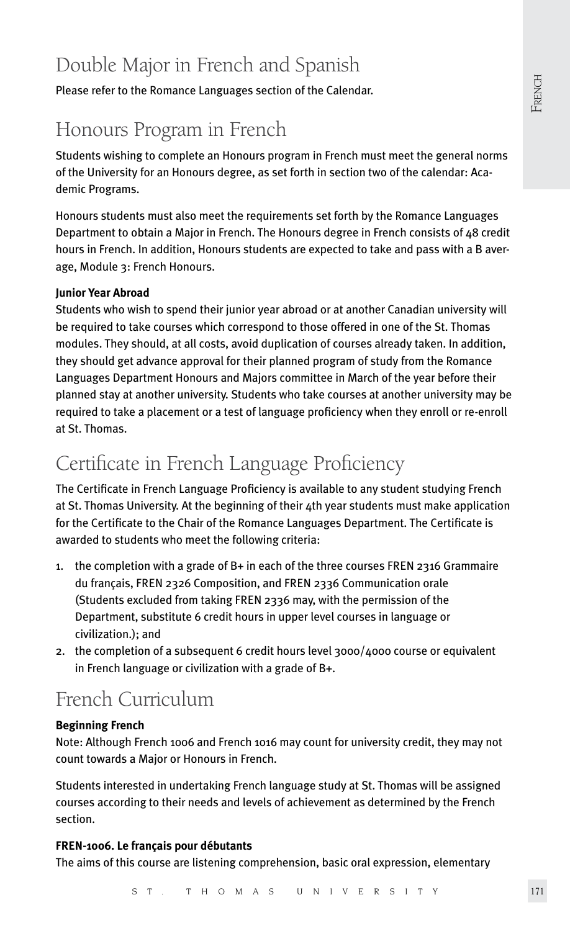# Double Major in French and Spanish

Please refer to the Romance Languages section of the Calendar.

# Honours Program in French

Students wishing to complete an Honours program in French must meet the general norms of the University for an Honours degree, as set forth in section two of the calendar: Academic Programs.

Honours students must also meet the requirements set forth by the Romance Languages Department to obtain a Major in French. The Honours degree in French consists of 48 credit hours in French. In addition, Honours students are expected to take and pass with a B average, Module 3: French Honours.

# **Junior Year Abroad**

Students who wish to spend their junior year abroad or at another Canadian university will be required to take courses which correspond to those offered in one of the St. Thomas modules. They should, at all costs, avoid duplication of courses already taken. In addition, they should get advance approval for their planned program of study from the Romance Languages Department Honours and Majors committee in March of the year before their planned stay at another university. Students who take courses at another university may be required to take a placement or a test of language proficiency when they enroll or re-enroll at St. Thomas.

# Certificate in French Language Proficiency

The Certificate in French Language Proficiency is available to any student studying French at St. Thomas University. At the beginning of their 4th year students must make application for the Certificate to the Chair of the Romance Languages Department. The Certificate is awarded to students who meet the following criteria:

- 1. the completion with a grade of B+ in each of the three courses FREN 2316 Grammaire du français, FREN 2326 Composition, and FREN 2336 Communication orale (Students excluded from taking FREN 2336 may, with the permission of the Department, substitute 6 credit hours in upper level courses in language or civilization.); and
- 2. the completion of a subsequent 6 credit hours level 3000/4000 course or equivalent in French language or civilization with a grade of B+.

# French Curriculum

# **Beginning French**

Note: Although French 1006 and French 1016 may count for university credit, they may not count towards a Major or Honours in French.

Students interested in undertaking French language study at St. Thomas will be assigned courses according to their needs and levels of achievement as determined by the French section.

# **FREN-1006. Le français pour débutants**

The aims of this course are listening comprehension, basic oral expression, elementary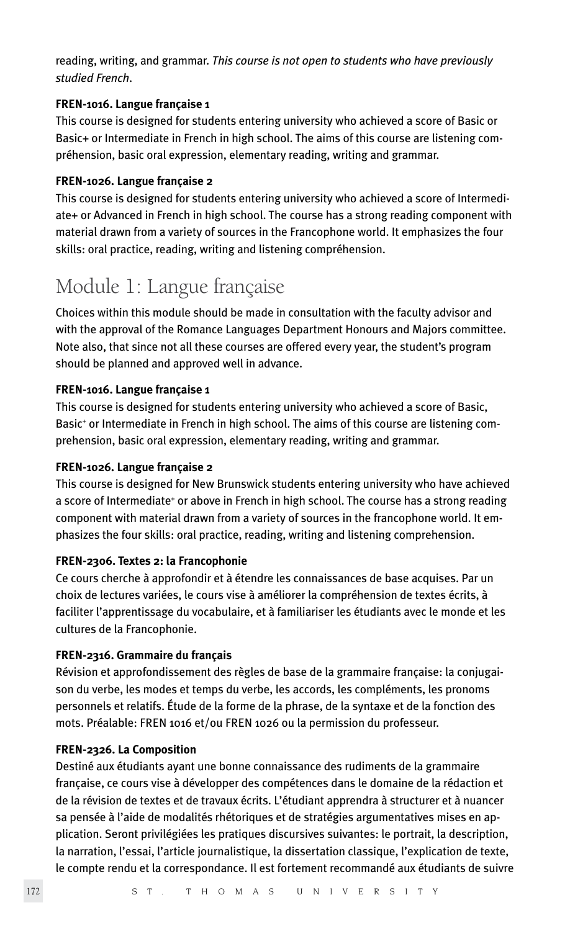reading, writing, and grammar. *This course is not open to students who have previously studied French*.

## **FREN-1016. Langue française 1**

This course is designed for students entering university who achieved a score of Basic or Basic+ or Intermediate in French in high school. The aims of this course are listening compréhension, basic oral expression, elementary reading, writing and grammar.

# **FREN-1026. Langue française 2**

This course is designed for students entering university who achieved a score of Intermediate+ or Advanced in French in high school. The course has a strong reading component with material drawn from a variety of sources in the Francophone world. It emphasizes the four skills: oral practice, reading, writing and listening compréhension.

# Module 1: Langue française

Choices within this module should be made in consultation with the faculty advisor and with the approval of the Romance Languages Department Honours and Majors committee. Note also, that since not all these courses are offered every year, the student's program should be planned and approved well in advance.

# **FREN-1016. Langue française 1**

This course is designed for students entering university who achieved a score of Basic, Basic<sup>+</sup> or Intermediate in French in high school. The aims of this course are listening comprehension, basic oral expression, elementary reading, writing and grammar.

## **FREN-1026. Langue française 2**

This course is designed for New Brunswick students entering university who have achieved a score of Intermediate<sup>+</sup> or above in French in high school. The course has a strong reading component with material drawn from a variety of sources in the francophone world. It emphasizes the four skills: oral practice, reading, writing and listening comprehension.

# **FREN-2306. Textes 2: la Francophonie**

Ce cours cherche à approfondir et à étendre les connaissances de base acquises. Par un choix de lectures variées, le cours vise à améliorer la compréhension de textes écrits, à faciliter l'apprentissage du vocabulaire, et à familiariser les étudiants avec le monde et les cultures de la Francophonie.

# **FREN-2316. Grammaire du français**

Révision et approfondissement des règles de base de la grammaire française: la conjugaison du verbe, les modes et temps du verbe, les accords, les compléments, les pronoms personnels et relatifs. Étude de la forme de la phrase, de la syntaxe et de la fonction des mots. Préalable: FREN 1016 et/ou FREN 1026 ou la permission du professeur.

# **FREN-2326. La Composition**

Destiné aux étudiants ayant une bonne connaissance des rudiments de la grammaire française, ce cours vise à développer des compétences dans le domaine de la rédaction et de la révision de textes et de travaux écrits. L'étudiant apprendra à structurer et à nuancer sa pensée à l'aide de modalités rhétoriques et de stratégies argumentatives mises en application. Seront privilégiées les pratiques discursives suivantes: le portrait, la description, la narration, l'essai, l'article journalistique, la dissertation classique, l'explication de texte, le compte rendu et la correspondance. Il est fortement recommandé aux étudiants de suivre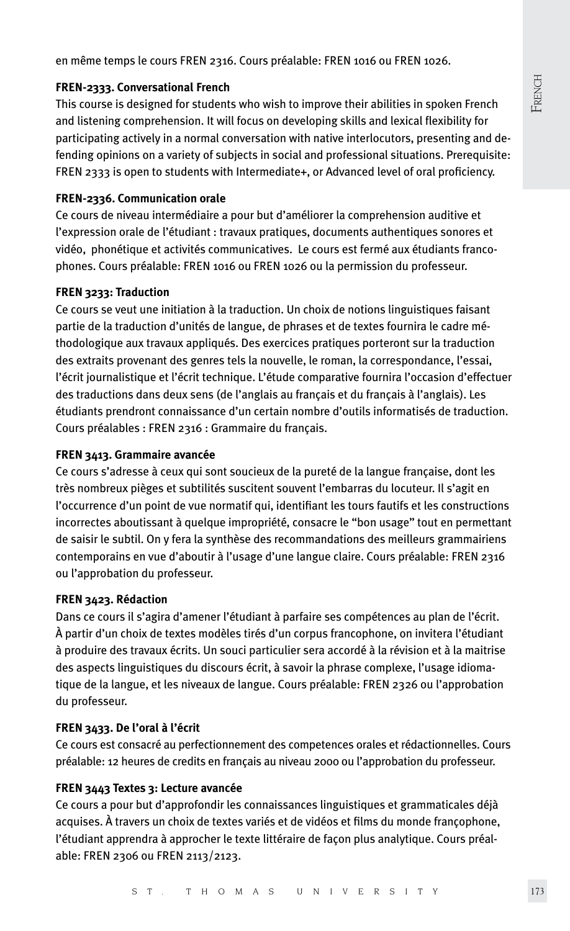en même temps le cours FREN 2316. Cours préalable: FREN 1016 ou FREN 1026.

#### **FREN-2333. Conversational French**

This course is designed for students who wish to improve their abilities in spoken French and listening comprehension. It will focus on developing skills and lexical flexibility for participating actively in a normal conversation with native interlocutors, presenting and defending opinions on a variety of subjects in social and professional situations. Prerequisite: FREN 2333 is open to students with Intermediate+, or Advanced level of oral proficiency.

#### **FREN-2336. Communication orale**

Ce cours de niveau intermédiaire a pour but d'améliorer la comprehension auditive et l'expression orale de l'étudiant : travaux pratiques, documents authentiques sonores et vidéo, phonétique et activités communicatives. Le cours est fermé aux étudiants francophones. Cours préalable: FREN 1016 ou FREN 1026 ou la permission du professeur.

#### **FREN 3233: Traduction**

Ce cours se veut une initiation à la traduction. Un choix de notions linguistiques faisant partie de la traduction d'unités de langue, de phrases et de textes fournira le cadre méthodologique aux travaux appliqués. Des exercices pratiques porteront sur la traduction des extraits provenant des genres tels la nouvelle, le roman, la correspondance, l'essai, l'écrit journalistique et l'écrit technique. L'étude comparative fournira l'occasion d'effectuer des traductions dans deux sens (de l'anglais au français et du français à l'anglais). Les étudiants prendront connaissance d'un certain nombre d'outils informatisés de traduction. Cours préalables : FREN 2316 : Grammaire du français.

### **FREN 3413. Grammaire avancée**

Ce cours s'adresse à ceux qui sont soucieux de la pureté de la langue française, dont les très nombreux pièges et subtilités suscitent souvent l'embarras du locuteur. Il s'agit en l'occurrence d'un point de vue normatif qui, identifiant les tours fautifs et les constructions incorrectes aboutissant à quelque impropriété, consacre le "bon usage" tout en permettant de saisir le subtil. On y fera la synthèse des recommandations des meilleurs grammairiens contemporains en vue d'aboutir à l'usage d'une langue claire. Cours préalable: FREN 2316 ou l'approbation du professeur.

#### **FREN 3423. Rédaction**

Dans ce cours il s'agira d'amener l'étudiant à parfaire ses compétences au plan de l'écrit. À partir d'un choix de textes modèles tirés d'un corpus francophone, on invitera l'étudiant à produire des travaux écrits. Un souci particulier sera accordé à la révision et à la maitrise des aspects linguistiques du discours écrit, à savoir la phrase complexe, l'usage idiomatique de la langue, et les niveaux de langue. Cours préalable: FREN 2326 ou l'approbation du professeur.

### **FREN 3433. De l'oral à l'écrit**

Ce cours est consacré au perfectionnement des competences orales et rédactionnelles. Cours préalable: 12 heures de credits en français au niveau 2000 ou l'approbation du professeur.

#### **FREN 3443 Textes 3: Lecture avancée**

Ce cours a pour but d'approfondir les connaissances linguistiques et grammaticales déjà acquises. À travers un choix de textes variés et de vidéos et films du monde françophone, l'étudiant apprendra à approcher le texte littéraire de façon plus analytique. Cours préalable: FREN 2306 ou FREN 2113/2123.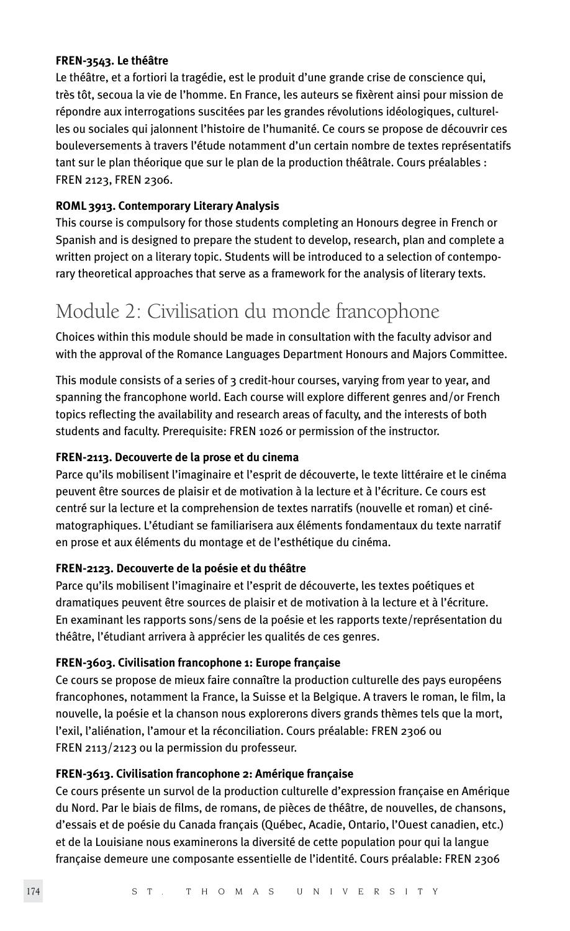#### **FREN-3543. Le théâtre**

Le théâtre, et a fortiori la tragédie, est le produit d'une grande crise de conscience qui, très tôt, secoua la vie de l'homme. En France, les auteurs se fixèrent ainsi pour mission de répondre aux interrogations suscitées par les grandes révolutions idéologiques, culturelles ou sociales qui jalonnent l'histoire de l'humanité. Ce cours se propose de découvrir ces bouleversements à travers l'étude notamment d'un certain nombre de textes représentatifs tant sur le plan théorique que sur le plan de la production théâtrale. Cours préalables : FREN 2123, FREN 2306.

# **ROML 3913. Contemporary Literary Analysis**

This course is compulsory for those students completing an Honours degree in French or Spanish and is designed to prepare the student to develop, research, plan and complete a written project on a literary topic. Students will be introduced to a selection of contemporary theoretical approaches that serve as a framework for the analysis of literary texts.

# Module 2: Civilisation du monde francophone

Choices within this module should be made in consultation with the faculty advisor and with the approval of the Romance Languages Department Honours and Majors Committee.

This module consists of a series of 3 credit-hour courses, varying from year to year, and spanning the francophone world. Each course will explore different genres and/or French topics reflecting the availability and research areas of faculty, and the interests of both students and faculty. Prerequisite: FREN 1026 or permission of the instructor.

### **FREN-2113. Decouverte de la prose et du cinema**

Parce qu'ils mobilisent l'imaginaire et l'esprit de découverte, le texte littéraire et le cinéma peuvent être sources de plaisir et de motivation à la lecture et à l'écriture. Ce cours est centré sur la lecture et la comprehension de textes narratifs (nouvelle et roman) et cinématographiques. L'étudiant se familiarisera aux éléments fondamentaux du texte narratif en prose et aux éléments du montage et de l'esthétique du cinéma.

### **FREN-2123. Decouverte de la poésie et du théâtre**

Parce qu'ils mobilisent l'imaginaire et l'esprit de découverte, les textes poétiques et dramatiques peuvent être sources de plaisir et de motivation à la lecture et à l'écriture. En examinant les rapports sons/sens de la poésie et les rapports texte/représentation du théâtre, l'étudiant arrivera à apprécier les qualités de ces genres.

### **FREN-3603. Civilisation francophone 1: Europe française**

Ce cours se propose de mieux faire connaître la production culturelle des pays européens francophones, notamment la France, la Suisse et la Belgique. A travers le roman, le film, la nouvelle, la poésie et la chanson nous explorerons divers grands thèmes tels que la mort, l'exil, l'aliénation, l'amour et la réconciliation. Cours préalable: FREN 2306 ou FREN 2113/2123 ou la permission du professeur.

# **FREN-3613. Civilisation francophone 2: Amérique française**

Ce cours présente un survol de la production culturelle d'expression française en Amérique du Nord. Par le biais de films, de romans, de pièces de théâtre, de nouvelles, de chansons, d'essais et de poésie du Canada français (Québec, Acadie, Ontario, l'Ouest canadien, etc.) et de la Louisiane nous examinerons la diversité de cette population pour qui la langue française demeure une composante essentielle de l'identité. Cours préalable: FREN 2306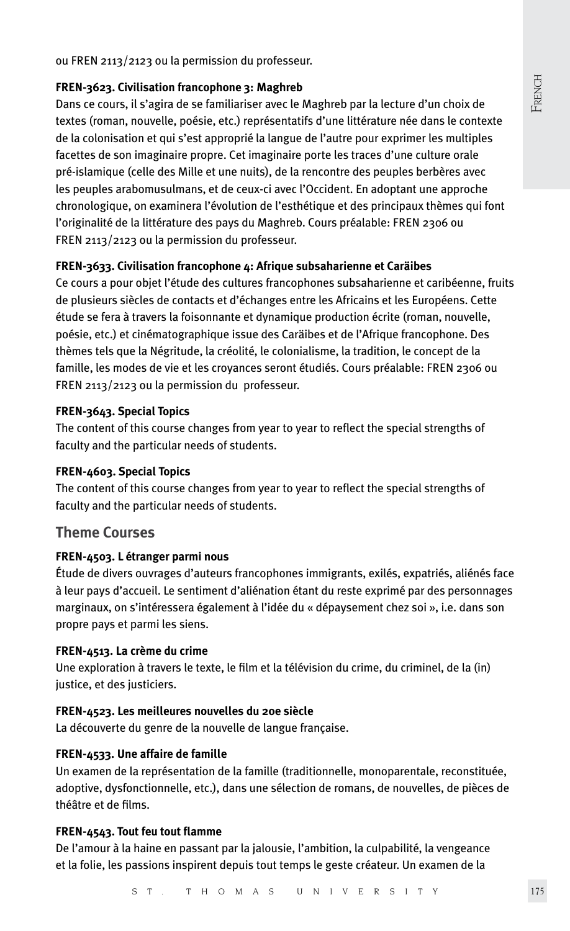French

ou FREN 2113/2123 ou la permission du professeur.

#### **FREN-3623. Civilisation francophone 3: Maghreb**

Dans ce cours, il s'agira de se familiariser avec le Maghreb par la lecture d'un choix de textes (roman, nouvelle, poésie, etc.) représentatifs d'une littérature née dans le contexte de la colonisation et qui s'est approprié la langue de l'autre pour exprimer les multiples facettes de son imaginaire propre. Cet imaginaire porte les traces d'une culture orale pré-islamique (celle des Mille et une nuits), de la rencontre des peuples berbères avec les peuples arabomusulmans, et de ceux-ci avec l'Occident. En adoptant une approche chronologique, on examinera l'évolution de l'esthétique et des principaux thèmes qui font l'originalité de la littérature des pays du Maghreb. Cours préalable: FREN 2306 ou FREN 2113/2123 ou la permission du professeur.

### **FREN-3633. Civilisation francophone 4: Afrique subsaharienne et Caräibes**

Ce cours a pour objet l'étude des cultures francophones subsaharienne et caribéenne, fruits de plusieurs siècles de contacts et d'échanges entre les Africains et les Européens. Cette étude se fera à travers la foisonnante et dynamique production écrite (roman, nouvelle, poésie, etc.) et cinématographique issue des Caräibes et de l'Afrique francophone. Des thèmes tels que la Négritude, la créolité, le colonialisme, la tradition, le concept de la famille, les modes de vie et les croyances seront étudiés. Cours préalable: FREN 2306 ou FREN 2113/2123 ou la permission du professeur.

#### **FREN-3643. Special Topics**

The content of this course changes from year to year to reflect the special strengths of faculty and the particular needs of students.

#### **FREN-4603. Special Topics**

The content of this course changes from year to year to reflect the special strengths of faculty and the particular needs of students.

# **Theme Courses**

#### **FREN-4503. L étranger parmi nous**

Étude de divers ouvrages d'auteurs francophones immigrants, exilés, expatriés, aliénés face à leur pays d'accueil. Le sentiment d'aliénation étant du reste exprimé par des personnages marginaux, on s'intéressera également à l'idée du « dépaysement chez soi », i.e. dans son propre pays et parmi les siens.

#### **FREN-4513. La crème du crime**

Une exploration à travers le texte, le film et la télévision du crime, du criminel, de la (in) justice, et des justiciers.

# **FREN-4523. Les meilleures nouvelles du 20e siècle**

La découverte du genre de la nouvelle de langue française.

### **FREN-4533. Une affaire de famille**

Un examen de la représentation de la famille (traditionnelle, monoparentale, reconstituée, adoptive, dysfonctionnelle, etc.), dans une sélection de romans, de nouvelles, de pièces de théâtre et de films.

#### **FREN-4543. Tout feu tout flamme**

De l'amour à la haine en passant par la jalousie, l'ambition, la culpabilité, la vengeance et la folie, les passions inspirent depuis tout temps le geste créateur. Un examen de la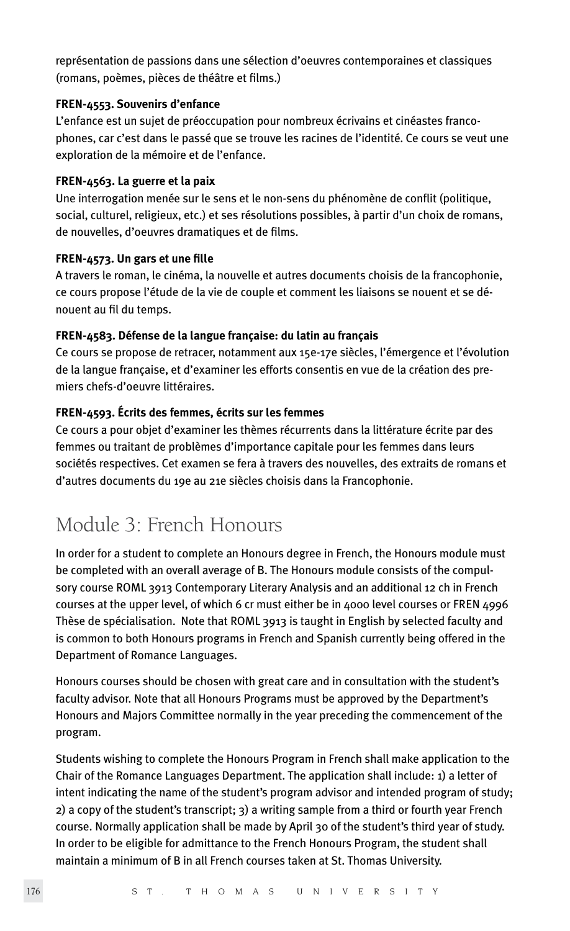représentation de passions dans une sélection d'oeuvres contemporaines et classiques (romans, poèmes, pièces de théâtre et films.)

## **FREN-4553. Souvenirs d'enfance**

L'enfance est un sujet de préoccupation pour nombreux écrivains et cinéastes francophones, car c'est dans le passé que se trouve les racines de l'identité. Ce cours se veut une exploration de la mémoire et de l'enfance.

# **FREN-4563. La guerre et la paix**

Une interrogation menée sur le sens et le non-sens du phénomène de conflit (politique, social, culturel, religieux, etc.) et ses résolutions possibles, à partir d'un choix de romans, de nouvelles, d'oeuvres dramatiques et de films.

# **FREN-4573. Un gars et une fille**

A travers le roman, le cinéma, la nouvelle et autres documents choisis de la francophonie, ce cours propose l'étude de la vie de couple et comment les liaisons se nouent et se dénouent au fil du temps.

# **FREN-4583. Défense de la langue française: du latin au français**

Ce cours se propose de retracer, notamment aux 15e-17e siècles, l'émergence et l'évolution de la langue française, et d'examiner les efforts consentis en vue de la création des premiers chefs-d'oeuvre littéraires.

# **FREN-4593. Écrits des femmes, écrits sur les femmes**

Ce cours a pour objet d'examiner les thèmes récurrents dans la littérature écrite par des femmes ou traitant de problèmes d'importance capitale pour les femmes dans leurs sociétés respectives. Cet examen se fera à travers des nouvelles, des extraits de romans et d'autres documents du 19e au 21e siècles choisis dans la Francophonie.

# Module 3: French Honours

In order for a student to complete an Honours degree in French, the Honours module must be completed with an overall average of B. The Honours module consists of the compulsory course ROML 3913 Contemporary Literary Analysis and an additional 12 ch in French courses at the upper level, of which 6 cr must either be in 4000 level courses or FREN 4996 Thèse de spécialisation. Note that ROML 3913 is taught in English by selected faculty and is common to both Honours programs in French and Spanish currently being offered in the Department of Romance Languages.

Honours courses should be chosen with great care and in consultation with the student's faculty advisor. Note that all Honours Programs must be approved by the Department's Honours and Majors Committee normally in the year preceding the commencement of the program.

Students wishing to complete the Honours Program in French shall make application to the Chair of the Romance Languages Department. The application shall include: 1) a letter of intent indicating the name of the student's program advisor and intended program of study; 2) a copy of the student's transcript; 3) a writing sample from a third or fourth year French course. Normally application shall be made by April 30 of the student's third year of study. In order to be eligible for admittance to the French Honours Program, the student shall maintain a minimum of B in all French courses taken at St. Thomas University.